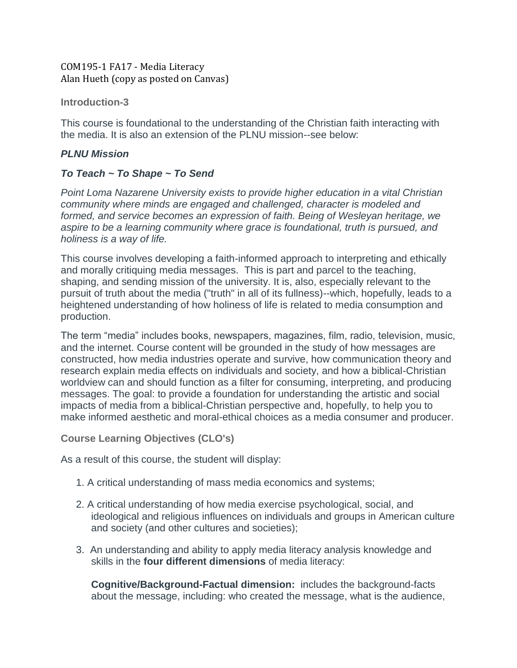#### [COM195-1 FA17 -](https://canvas.pointloma.edu/courses/34271) Media Literacy Alan Hueth (copy as posted on Canvas)

#### **Introduction-3**

This course is foundational to the understanding of the Christian faith interacting with the media. It is also an extension of the PLNU mission--see below:

#### *PLNU Mission*

## *To Teach ~ To Shape ~ To Send*

*Point Loma Nazarene University exists to provide higher education in a vital Christian community where minds are engaged and challenged, character is modeled and formed, and service becomes an expression of faith. Being of Wesleyan heritage, we aspire to be a learning community where grace is foundational, truth is pursued, and holiness is a way of life.*

This course involves developing a faith-informed approach to interpreting and ethically and morally critiquing media messages. This is part and parcel to the teaching, shaping, and sending mission of the university. It is, also, especially relevant to the pursuit of truth about the media ("truth" in all of its fullness)--which, hopefully, leads to a heightened understanding of how holiness of life is related to media consumption and production.

The term "media" includes books, newspapers, magazines, film, radio, television, music, and the internet. Course content will be grounded in the study of how messages are constructed, how media industries operate and survive, how communication theory and research explain media effects on individuals and society, and how a biblical-Christian worldview can and should function as a filter for consuming, interpreting, and producing messages. The goal: to provide a foundation for understanding the artistic and social impacts of media from a biblical-Christian perspective and, hopefully, to help you to make informed aesthetic and moral-ethical choices as a media consumer and producer.

**Course Learning Objectives (CLO's)**

As a result of this course, the student will display:

- 1. A critical understanding of mass media economics and systems;
- 2. A critical understanding of how media exercise psychological, social, and ideological and religious influences on individuals and groups in American culture and society (and other cultures and societies);
- 3. An understanding and ability to apply media literacy analysis knowledge and skills in the **four different dimensions** of media literacy:

**Cognitive/Background-Factual dimension:** includes the background-facts about the message, including: who created the message, what is the audience,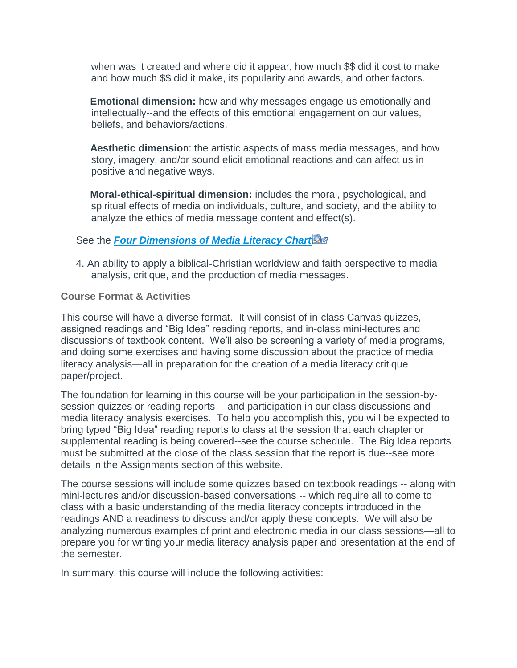when was it created and where did it appear, how much \$\$ did it cost to make and how much \$\$ did it make, its popularity and awards, and other factors.

**Emotional dimension:** how and why messages engage us emotionally and intellectually--and the effects of this emotional engagement on our values, beliefs, and behaviors/actions.

**Aesthetic dimensio**n: the artistic aspects of mass media messages, and how story, imagery, and/or sound elicit emotional reactions and can affect us in positive and negative ways.

**Moral-ethical-spiritual dimension:** includes the moral, psychological, and spiritual effects of media on individuals, culture, and society, and the ability to analyze the ethics of media message content and effect(s).

#### **See the** *[Four Dimensions of Media Literacy Chart](https://canvas.pointloma.edu/courses/34271/files/1339777/download?wrap=1)*

4. An ability to apply a biblical-Christian worldview and faith perspective to media analysis, critique, and the production of media messages.

#### **Course Format & Activities**

This course will have a diverse format. It will consist of in-class Canvas quizzes, assigned readings and "Big Idea" reading reports, and in-class mini-lectures and discussions of textbook content. We'll also be screening a variety of media programs, and doing some exercises and having some discussion about the practice of media literacy analysis—all in preparation for the creation of a media literacy critique paper/project.

The foundation for learning in this course will be your participation in the session-bysession quizzes or reading reports -- and participation in our class discussions and media literacy analysis exercises. To help you accomplish this, you will be expected to bring typed "Big Idea" reading reports to class at the session that each chapter or supplemental reading is being covered--see the course schedule. The Big Idea reports must be submitted at the close of the class session that the report is due--see more details in the Assignments section of this website.

The course sessions will include some quizzes based on textbook readings -- along with mini-lectures and/or discussion-based conversations -- which require all to come to class with a basic understanding of the media literacy concepts introduced in the readings AND a readiness to discuss and/or apply these concepts. We will also be analyzing numerous examples of print and electronic media in our class sessions—all to prepare you for writing your media literacy analysis paper and presentation at the end of the semester.

In summary, this course will include the following activities: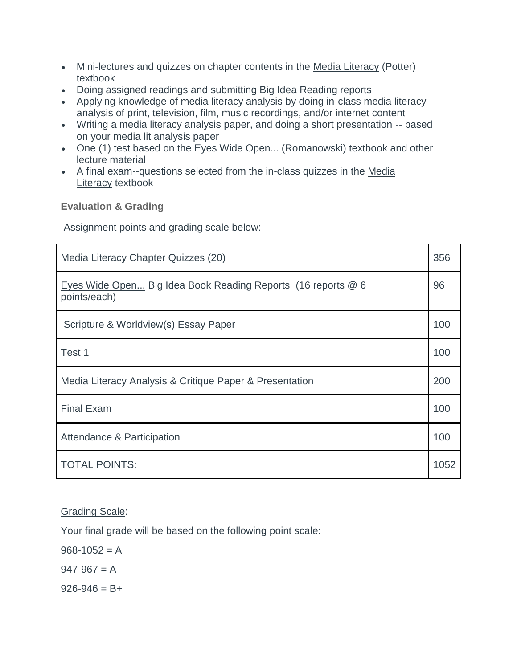- Mini-lectures and quizzes on chapter contents in the Media Literacy (Potter) textbook
- Doing assigned readings and submitting Big Idea Reading reports
- Applying knowledge of media literacy analysis by doing in-class media literacy analysis of print, television, film, music recordings, and/or internet content
- Writing a media literacy analysis paper, and doing a short presentation -- based on your media lit analysis paper
- One (1) test based on the Eyes Wide Open... (Romanowski) textbook and other lecture material
- A final exam--questions selected from the in-class quizzes in the Media Literacy textbook

**Evaluation & Grading**

Assignment points and grading scale below:

| Media Literacy Chapter Quizzes (20)                                          | 356  |
|------------------------------------------------------------------------------|------|
| Eyes Wide Open Big Idea Book Reading Reports (16 reports @ 6<br>points/each) | 96   |
| Scripture & Worldview(s) Essay Paper                                         | 100  |
| Test 1                                                                       | 100  |
| Media Literacy Analysis & Critique Paper & Presentation                      | 200  |
| <b>Final Exam</b>                                                            | 100  |
| Attendance & Participation                                                   | 100  |
| <b>TOTAL POINTS:</b>                                                         | 1052 |

## Grading Scale:

Your final grade will be based on the following point scale:

 $968 - 1052 = A$ 

 $947-967 = A$ 

 $926 - 946 = B +$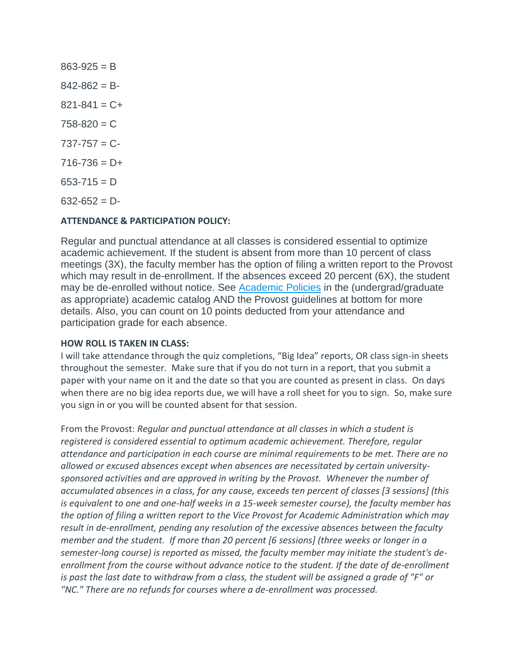$863 - 925 = B$  $842 - 862 = B$  $821 - 841 = C +$  $758 - 820 = C$  $737 - 757 = C$  $716 - 736 = D +$  $653 - 715 = D$  $632 - 652 = D$ 

#### **ATTENDANCE & PARTICIPATION POLICY:**

Regular and punctual attendance at all classes is considered essential to optimize academic achievement. If the student is absent from more than 10 percent of class meetings (3X), the faculty member has the option of filing a written report to the Provost which may result in de-enrollment. If the absences exceed 20 percent (6X), the student may be de-enrolled without notice. See [Academic Policies](http://catalog.pointloma.edu/content.php?catoid=8&navoid=864#Class_Attendance) in the (undergrad/graduate as appropriate) academic catalog AND the Provost guidelines at bottom for more details. Also, you can count on 10 points deducted from your attendance and participation grade for each absence.

#### **HOW ROLL IS TAKEN IN CLASS:**

I will take attendance through the quiz completions, "Big Idea" reports, OR class sign-in sheets throughout the semester. Make sure that if you do not turn in a report, that you submit a paper with your name on it and the date so that you are counted as present in class. On days when there are no big idea reports due, we will have a roll sheet for you to sign. So, make sure you sign in or you will be counted absent for that session.

From the Provost: *Regular and punctual attendance at all classes in which a student is registered is considered essential to optimum academic achievement. Therefore, regular attendance and participation in each course are minimal requirements to be met. There are no allowed or excused absences except when absences are necessitated by certain universitysponsored activities and are approved in writing by the Provost. Whenever the number of accumulated absences in a class, for any cause, exceeds ten percent of classes [3 sessions] (this is equivalent to one and one-half weeks in a 15-week semester course), the faculty member has the option of filing a written report to the Vice Provost for Academic Administration which may result in de-enrollment, pending any resolution of the excessive absences between the faculty member and the student. If more than 20 percent [6 sessions] (three weeks or longer in a semester-long course) is reported as missed, the faculty member may initiate the student's deenrollment from the course without advance notice to the student. If the date of de-enrollment is past the last date to withdraw from a class, the student will be assigned a grade of "F" or "NC." There are no refunds for courses where a de-enrollment was processed.*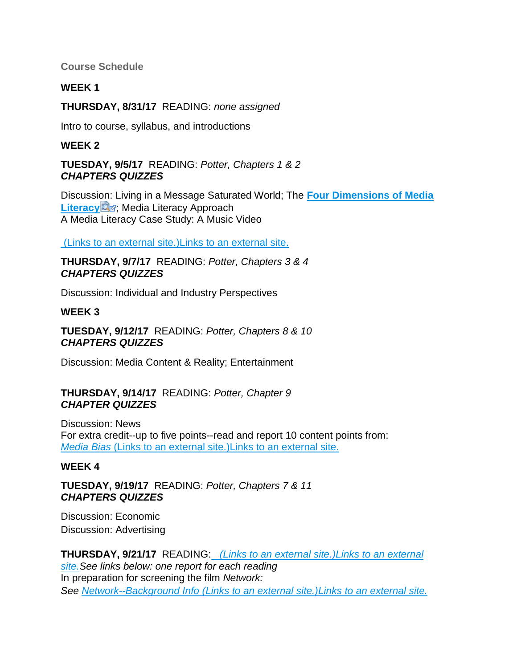**Course Schedule**

## **WEEK 1**

**THURSDAY, 8/31/17** READING: *none assigned*

Intro to course, syllabus, and introductions

## **WEEK 2**

**TUESDAY, 9/5/17** READING: *Potter, Chapters 1 & 2 CHAPTERS QUIZZES*

Discussion: Living in a Message Saturated World; The **[Four Dimensions of Media](https://canvas.pointloma.edu/courses/34271/files/1339719/download?wrap=1)  [Literacy](https://canvas.pointloma.edu/courses/34271/files/1339719/download?wrap=1) Externel**: Media Literacy Approach A Media Literacy Case Study: A Music Video

(Links to an external [site.\)Links](http://onenewsnow.com/culture/2013/01/02/hitler-statue-a-terrible-affront-to-any-jew) to an external site.

**THURSDAY, 9/7/17** READING: *Potter, Chapters 3 & 4 CHAPTERS QUIZZES*

Discussion: Individual and Industry Perspectives

## **WEEK 3**

**TUESDAY, 9/12/17** READING: *Potter, Chapters 8 & 10 CHAPTERS QUIZZES*

Discussion: Media Content & Reality; Entertainment

#### **THURSDAY, 9/14/17** READING: *Potter, Chapter 9 CHAPTER QUIZZES*

Discussion: News For extra credit--up to five points--read and report 10 content points from: *[Media Bias](https://www.studentnewsdaily.com/types-of-media-bias/)* (Links to an external site.)Links to an external site.

# **WEEK 4**

**TUESDAY, 9/19/17** READING: *Potter, Chapters 7 & 11 CHAPTERS QUIZZES*

Discussion: Economic Discussion: Advertising

**THURSDAY, 9/21/17** READING: *(Links to an external [site.\)Links](http://www.cnn.com/2014/03/27/showbiz/movies/network-movie-itzkoff-chayefsky/) to an external [site.S](http://www.cnn.com/2014/03/27/showbiz/movies/network-movie-itzkoff-chayefsky/)ee links below: one report for each reading* In preparation for screening the film *Network: See [Network--Background Info](http://en.wikipedia.org/wiki/Network_%28film%29) (Links to an external site.)Links to an external site.*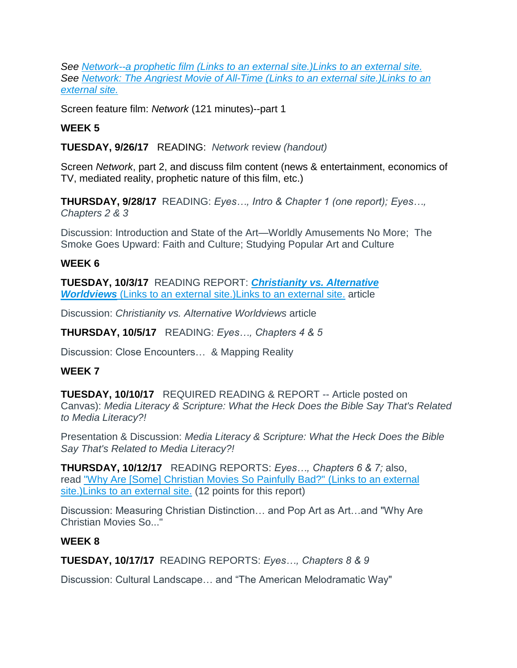*See [Network--a prophetic film](http://www.businessinsider.com/spooky-the-1976-movie-network-predicted-youtube-and-two-and-a-half-men-2012-2) (Links to an external site.)Links to an external site. See [Network: The Angriest Movie of All-Time](http://www.cnn.com/2014/03/27/showbiz/movies/network-movie-itzkoff-chayefsky/) (Links to an external site.)Links to an [external](http://www.cnn.com/2014/03/27/showbiz/movies/network-movie-itzkoff-chayefsky/) site.*

Screen feature film: *Network* (121 minutes)--part 1

# **WEEK 5**

**TUESDAY, 9/26/17** READING: *Network* review *(handout)*

Screen *Network*, part 2, and discuss film content (news & entertainment, economics of TV, mediated reality, prophetic nature of this film, etc.)

**THURSDAY, 9/28/17** READING: *Eyes…, Intro & Chapter 1 (one report); Eyes…, Chapters 2 & 3*

Discussion: Introduction and State of the Art—Worldly Amusements No More; The Smoke Goes Upward: Faith and Culture; Studying Popular Art and Culture

## **WEEK 6**

**TUESDAY, 10/3/17** READING REPORT: *[Christianity vs. Alternative](https://www.cru.org/content/dam/cru/legacy/2012/02/Worldview.pdf)  [Worldviews](https://www.cru.org/content/dam/cru/legacy/2012/02/Worldview.pdf)* (Links to an external site.)Links to an external site. article

Discussion: *Christianity vs. Alternative Worldviews* article

**THURSDAY, 10/5/17** READING: *Eyes…, Chapters 4 & 5*

Discussion: Close Encounters… & Mapping Reality

## **WEEK 7**

**TUESDAY, 10/10/17** REQUIRED READING & REPORT -- Article posted on Canvas): *Media Literacy & Scripture: What the Heck Does the Bible Say That's Related to Media Literacy?!*

Presentation & Discussion: *Media Literacy & Scripture: What the Heck Does the Bible Say That's Related to Media Literacy?!* 

**THURSDAY, 10/12/17** READING REPORTS: *Eyes…, Chapters 6 & 7;* also, read ["Why Are \[Some\] Christian Movies So Painfully Bad?"](http://www.vox.com/2015/2/15/8038283/christian-movies-bad-old-fashioned-fifty-shades) (Links to an external site.) Links to an external site. (12 points for this report)

Discussion: Measuring Christian Distinction… and Pop Art as Art…and "Why Are Christian Movies So..."

## **WEEK 8**

**TUESDAY, 10/17/17** READING REPORTS: *Eyes…, Chapters 8 & 9*

Discussion: Cultural Landscape… and "The American Melodramatic Way"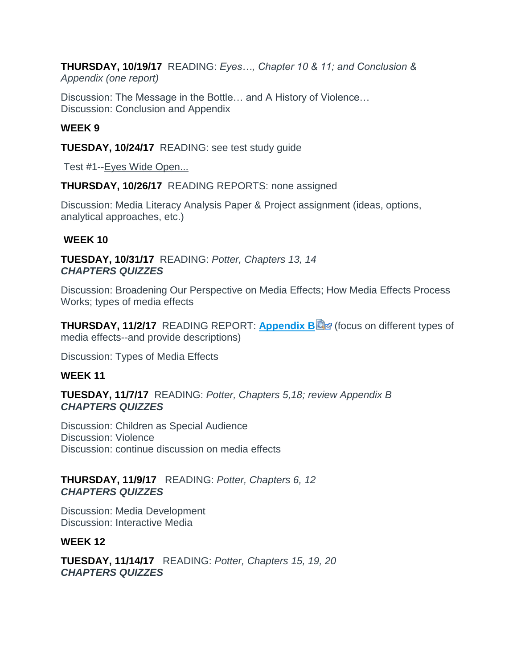**THURSDAY, 10/19/17** READING: *Eyes…, Chapter 10 & 11; and Conclusion & Appendix (one report)*

Discussion: The Message in the Bottle… and A History of Violence… Discussion: Conclusion and Appendix

## **WEEK 9**

**TUESDAY, 10/24/17** READING: see test study guide

Test #1--Eyes Wide Open...

**THURSDAY, 10/26/17** READING REPORTS: none assigned

Discussion: Media Literacy Analysis Paper & Project assignment (ideas, options, analytical approaches, etc.)

## **WEEK 10**

**TUESDAY, 10/31/17** READING: *Potter, Chapters 13, 14 CHAPTERS QUIZZES*

Discussion: Broadening Our Perspective on Media Effects; How Media Effects Process Works; types of media effects

**THURSDAY, 11/2/17** READING REPORT: **[Appendix B](https://canvas.pointloma.edu/courses/34271/files/1339754/download?wrap=1) @** (focus on different types of media effects--and provide descriptions)

Discussion: Types of Media Effects

## **WEEK 11**

**TUESDAY, 11/7/17** READING: *Potter, Chapters 5,18; review Appendix B CHAPTERS QUIZZES*

Discussion: Children as Special Audience Discussion: Violence Discussion: continue discussion on media effects

## **THURSDAY, 11/9/17** READING: *Potter, Chapters 6, 12 CHAPTERS QUIZZES*

Discussion: Media Development Discussion: Interactive Media

## **WEEK 12**

**TUESDAY, 11/14/17** READING: *Potter, Chapters 15, 19, 20 CHAPTERS QUIZZES*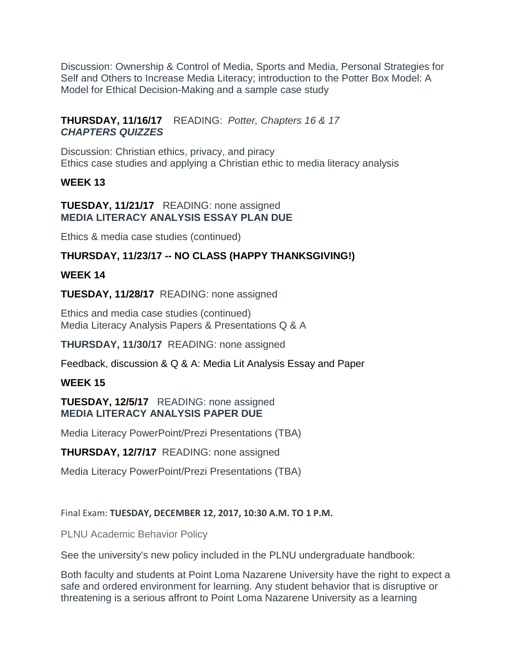Discussion: Ownership & Control of Media, Sports and Media, Personal Strategies for Self and Others to Increase Media Literacy; introduction to the Potter Box Model: A Model for Ethical Decision-Making and a sample case study

**THURSDAY, 11/16/17** READING: *Potter, Chapters 16 & 17 CHAPTERS QUIZZES* 

Discussion: Christian ethics, privacy, and piracy Ethics case studies and applying a Christian ethic to media literacy analysis

## **WEEK 13**

#### **TUESDAY, 11/21/17** READING: none assigned **MEDIA LITERACY ANALYSIS ESSAY PLAN DUE**

Ethics & media case studies (continued)

# **THURSDAY, 11/23/17 -- NO CLASS (HAPPY THANKSGIVING!)**

## **WEEK 14**

**TUESDAY, 11/28/17** READING: none assigned

Ethics and media case studies (continued) Media Literacy Analysis Papers & Presentations Q & A

**THURSDAY, 11/30/17** READING: none assigned

Feedback, discussion & Q & A: Media Lit Analysis Essay and Paper

# **WEEK 15**

**TUESDAY, 12/5/17** READING: none assigned **MEDIA LITERACY ANALYSIS PAPER DUE**

Media Literacy PowerPoint/Prezi Presentations (TBA)

**THURSDAY, 12/7/17** READING: none assigned

Media Literacy PowerPoint/Prezi Presentations (TBA)

## Final Exam: **TUESDAY, DECEMBER 12, 2017, 10:30 A.M. TO 1 P.M.**

PLNU Academic Behavior Policy

See the university's new policy included in the PLNU undergraduate handbook:

Both faculty and students at Point Loma Nazarene University have the right to expect a safe and ordered environment for learning. Any student behavior that is disruptive or threatening is a serious affront to Point Loma Nazarene University as a learning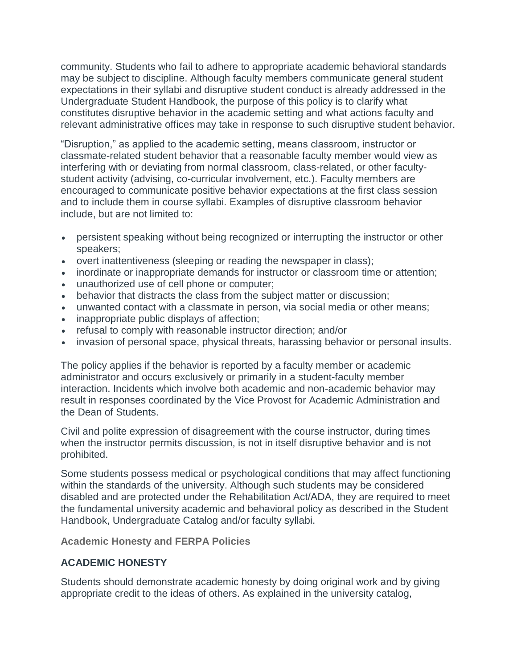community. Students who fail to adhere to appropriate academic behavioral standards may be subject to discipline. Although faculty members communicate general student expectations in their syllabi and disruptive student conduct is already addressed in the Undergraduate Student Handbook, the purpose of this policy is to clarify what constitutes disruptive behavior in the academic setting and what actions faculty and relevant administrative offices may take in response to such disruptive student behavior.

"Disruption," as applied to the academic setting, means classroom, instructor or classmate-related student behavior that a reasonable faculty member would view as interfering with or deviating from normal classroom, class-related, or other facultystudent activity (advising, co-curricular involvement, etc.). Faculty members are encouraged to communicate positive behavior expectations at the first class session and to include them in course syllabi. Examples of disruptive classroom behavior include, but are not limited to:

- persistent speaking without being recognized or interrupting the instructor or other speakers;
- overt inattentiveness (sleeping or reading the newspaper in class);
- inordinate or inappropriate demands for instructor or classroom time or attention;
- unauthorized use of cell phone or computer;
- behavior that distracts the class from the subject matter or discussion;
- unwanted contact with a classmate in person, via social media or other means;
- inappropriate public displays of affection;
- refusal to comply with reasonable instructor direction; and/or
- invasion of personal space, physical threats, harassing behavior or personal insults.

The policy applies if the behavior is reported by a faculty member or academic administrator and occurs exclusively or primarily in a student-faculty member interaction. Incidents which involve both academic and non-academic behavior may result in responses coordinated by the Vice Provost for Academic Administration and the Dean of Students.

Civil and polite expression of disagreement with the course instructor, during times when the instructor permits discussion, is not in itself disruptive behavior and is not prohibited.

Some students possess medical or psychological conditions that may affect functioning within the standards of the university. Although such students may be considered disabled and are protected under the Rehabilitation Act/ADA, they are required to meet the fundamental university academic and behavioral policy as described in the Student Handbook, Undergraduate Catalog and/or faculty syllabi.

**Academic Honesty and FERPA Policies**

## **ACADEMIC HONESTY**

Students should demonstrate academic honesty by doing original work and by giving appropriate credit to the ideas of others. As explained in the university catalog,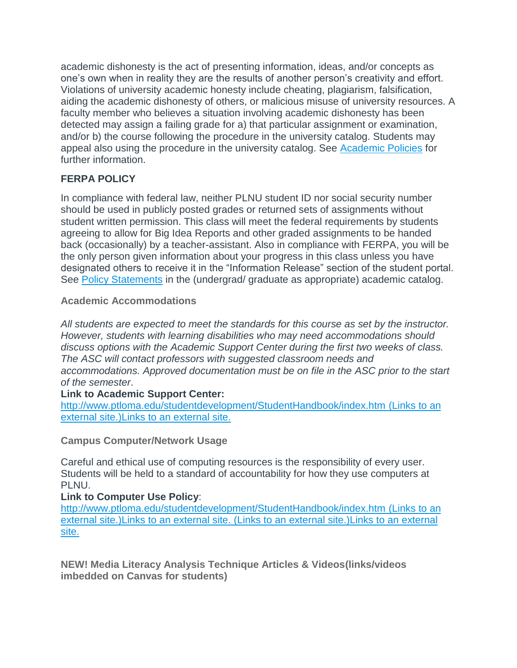academic dishonesty is the act of presenting information, ideas, and/or concepts as one's own when in reality they are the results of another person's creativity and effort. Violations of university academic honesty include cheating, plagiarism, falsification, aiding the academic dishonesty of others, or malicious misuse of university resources. A faculty member who believes a situation involving academic dishonesty has been detected may assign a failing grade for a) that particular assignment or examination, and/or b) the course following the procedure in the university catalog. Students may appeal also using the procedure in the university catalog. See [Academic Policies](http://www.pointloma.edu/experience/academics/catalogs/undergraduate-catalog/point-loma-education/academic-policies) for further information.

## **FERPA POLICY**

In compliance with federal law, neither PLNU student ID nor social security number should be used in publicly posted grades or returned sets of assignments without student written permission. This class will meet the federal requirements by students agreeing to allow for Big Idea Reports and other graded assignments to be handed back (occasionally) by a teacher-assistant. Also in compliance with FERPA, you will be the only person given information about your progress in this class unless you have designated others to receive it in the "Information Release" section of the student portal. See [Policy Statements](http://www.pointloma.edu/experience/academics/catalogs/undergraduate-catalog/policy-statements) in the (undergrad/ graduate as appropriate) academic catalog.

## **Academic Accommodations**

*All students are expected to meet the standards for this course as set by the instructor. However, students with learning disabilities who may need accommodations should discuss options with the Academic Support Center during the first two weeks of class. The ASC will contact professors with suggested classroom needs and accommodations. Approved documentation must be on file in the ASC prior to the start of the semester*.

## **Link to Academic Support Center:**

<http://www.ptloma.edu/studentdevelopment/StudentHandbook/index.htm> (Links to an external [site.\)Links](http://www.ptloma.edu/studentdevelopment/StudentHandbook/index.htm) to an external site.

## **Campus Computer/Network Usage**

Careful and ethical use of computing resources is the responsibility of every user. Students will be held to a standard of accountability for how they use computers at PLNU.

# **Link to Computer Use Policy**:

<http://www.ptloma.edu/studentdevelopment/StudentHandbook/index.htm> (Links to an external [site.\)Links](http://www.ptloma.edu/studentdevelopment/StudentHandbook/index.htm) to an external site. (Links to an external [site.\)Links](http://www.ptloma.edu/studentdevelopment/StudentHandbook.pdf) to an external [site.](http://www.ptloma.edu/studentdevelopment/StudentHandbook.pdf)

**NEW! Media Literacy Analysis Technique Articles & Videos(links/videos imbedded on Canvas for students)**